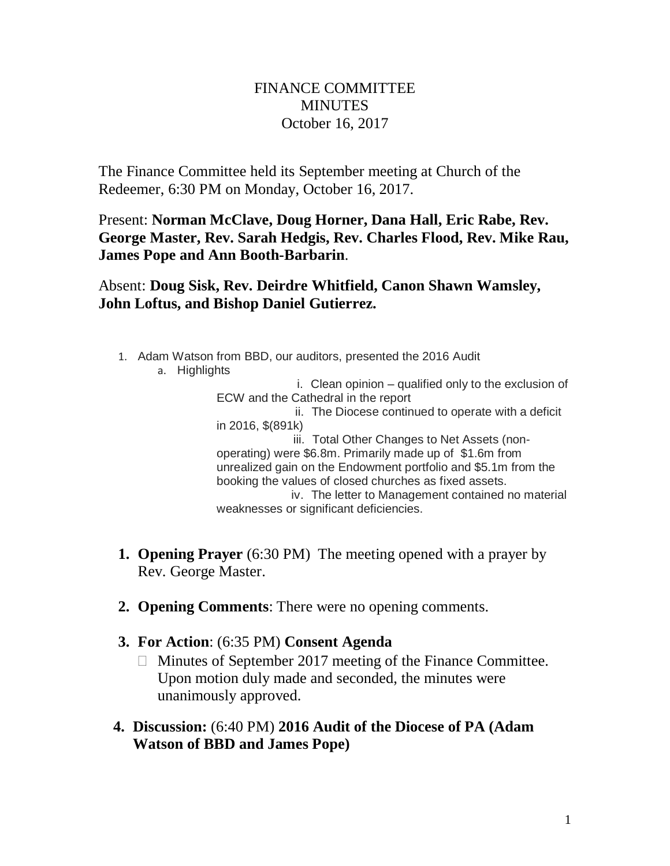## FINANCE COMMITTEE **MINUTES** October 16, 2017

The Finance Committee held its September meeting at Church of the Redeemer, 6:30 PM on Monday, October 16, 2017.

Present: **Norman McClave, Doug Horner, Dana Hall, Eric Rabe, Rev. George Master, Rev. Sarah Hedgis, Rev. Charles Flood, Rev. Mike Rau, James Pope and Ann Booth-Barbarin**.

Absent: **Doug Sisk, Rev. Deirdre Whitfield, Canon Shawn Wamsley, John Loftus, and Bishop Daniel Gutierrez.**

- 1. Adam Watson from BBD, our auditors, presented the 2016 Audit
	- a. Highlights

 i. Clean opinion – qualified only to the exclusion of ECW and the Cathedral in the report ii. The Diocese continued to operate with a deficit in 2016, \$(891k) iii. Total Other Changes to Net Assets (nonoperating) were \$6.8m. Primarily made up of \$1.6m from unrealized gain on the Endowment portfolio and \$5.1m from the booking the values of closed churches as fixed assets. iv. The letter to Management contained no material weaknesses or significant deficiencies.

- **1. Opening Prayer** (6:30 PM) The meeting opened with a prayer by Rev. George Master.
- **2. Opening Comments**: There were no opening comments.
- **3. For Action**: (6:35 PM) **Consent Agenda**
	- Minutes of September 2017 meeting of the Finance Committee. Upon motion duly made and seconded, the minutes were unanimously approved.
- **4. Discussion:** (6:40 PM) **2016 Audit of the Diocese of PA (Adam Watson of BBD and James Pope)**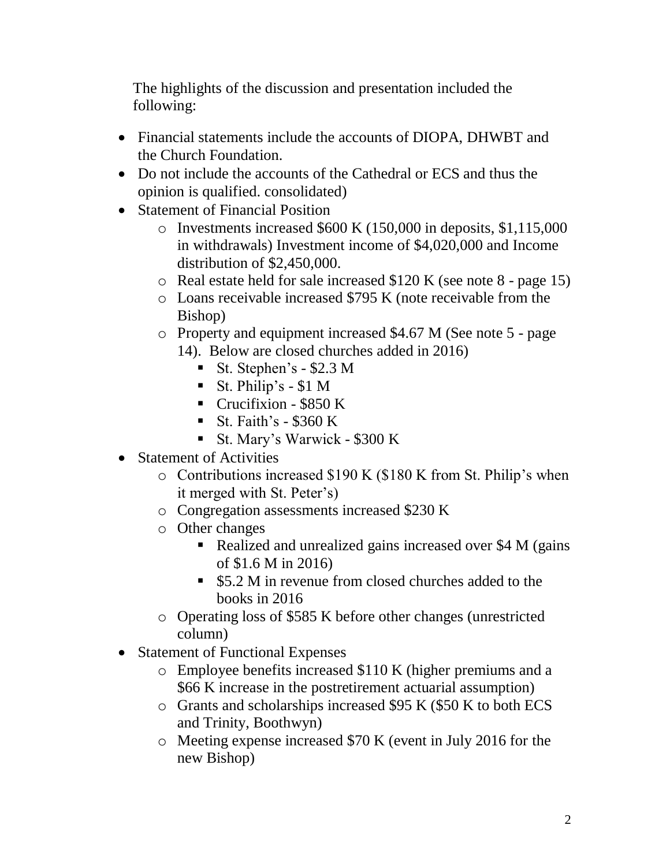The highlights of the discussion and presentation included the following:

- Financial statements include the accounts of DIOPA, DHWBT and the Church Foundation.
- Do not include the accounts of the Cathedral or ECS and thus the opinion is qualified. consolidated)
- Statement of Financial Position
	- o Investments increased \$600 K (150,000 in deposits, \$1,115,000 in withdrawals) Investment income of \$4,020,000 and Income distribution of \$2,450,000.
	- o Real estate held for sale increased \$120 K (see note 8 page 15)
	- o Loans receivable increased \$795 K (note receivable from the Bishop)

o Property and equipment increased \$4.67 M (See note 5 - page 14). Below are closed churches added in 2016)

- $\blacksquare$  St. Stephen's \$2.3 M
- $\blacksquare$  St. Philip's \$1 M
- **•** Crucifixion  $$850 K$
- $\blacksquare$  St. Faith's \$360 K
- St. Mary's Warwick \$300 K
- Statement of Activities
	- o Contributions increased \$190 K (\$180 K from St. Philip's when it merged with St. Peter's)
	- o Congregation assessments increased \$230 K
	- o Other changes
		- Realized and unrealized gains increased over \$4 M (gains of \$1.6 M in 2016)
		- \$5.2 M in revenue from closed churches added to the books in 2016
	- o Operating loss of \$585 K before other changes (unrestricted column)
- Statement of Functional Expenses
	- o Employee benefits increased \$110 K (higher premiums and a \$66 K increase in the postretirement actuarial assumption)
	- o Grants and scholarships increased \$95 K (\$50 K to both ECS and Trinity, Boothwyn)
	- o Meeting expense increased \$70 K (event in July 2016 for the new Bishop)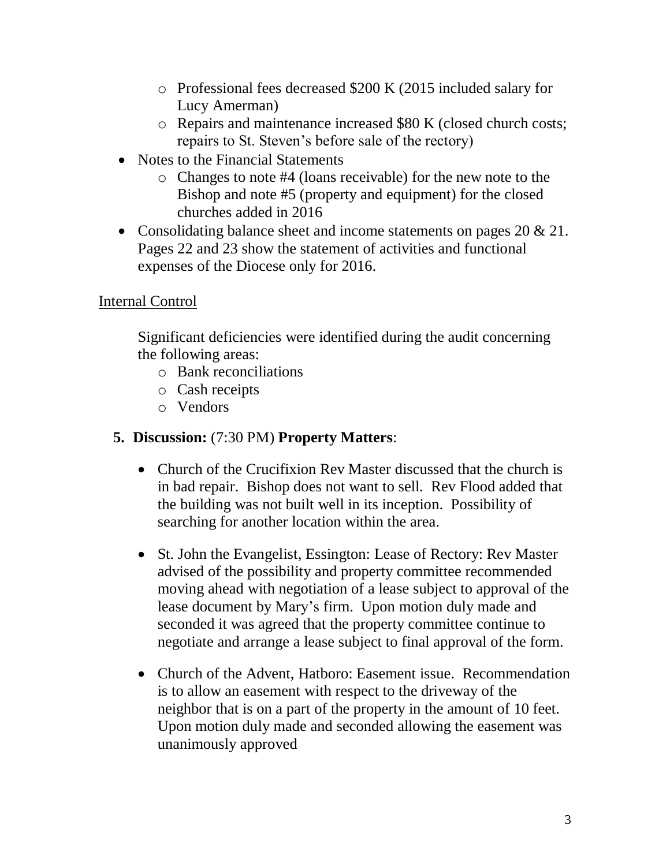- o Professional fees decreased \$200 K (2015 included salary for Lucy Amerman)
- o Repairs and maintenance increased \$80 K (closed church costs; repairs to St. Steven's before sale of the rectory)
- Notes to the Financial Statements
	- o Changes to note #4 (loans receivable) for the new note to the Bishop and note #5 (property and equipment) for the closed churches added in 2016
- Consolidating balance sheet and income statements on pages 20 & 21. Pages 22 and 23 show the statement of activities and functional expenses of the Diocese only for 2016.

## Internal Control

Significant deficiencies were identified during the audit concerning the following areas:

- o Bank reconciliations
- o Cash receipts
- o Vendors

## **5. Discussion:** (7:30 PM) **Property Matters**:

- Church of the Crucifixion Rev Master discussed that the church is in bad repair. Bishop does not want to sell. Rev Flood added that the building was not built well in its inception. Possibility of searching for another location within the area.
- St. John the Evangelist, Essington: Lease of Rectory: Rev Master advised of the possibility and property committee recommended moving ahead with negotiation of a lease subject to approval of the lease document by Mary's firm. Upon motion duly made and seconded it was agreed that the property committee continue to negotiate and arrange a lease subject to final approval of the form.
- Church of the Advent, Hatboro: Easement issue. Recommendation is to allow an easement with respect to the driveway of the neighbor that is on a part of the property in the amount of 10 feet. Upon motion duly made and seconded allowing the easement was unanimously approved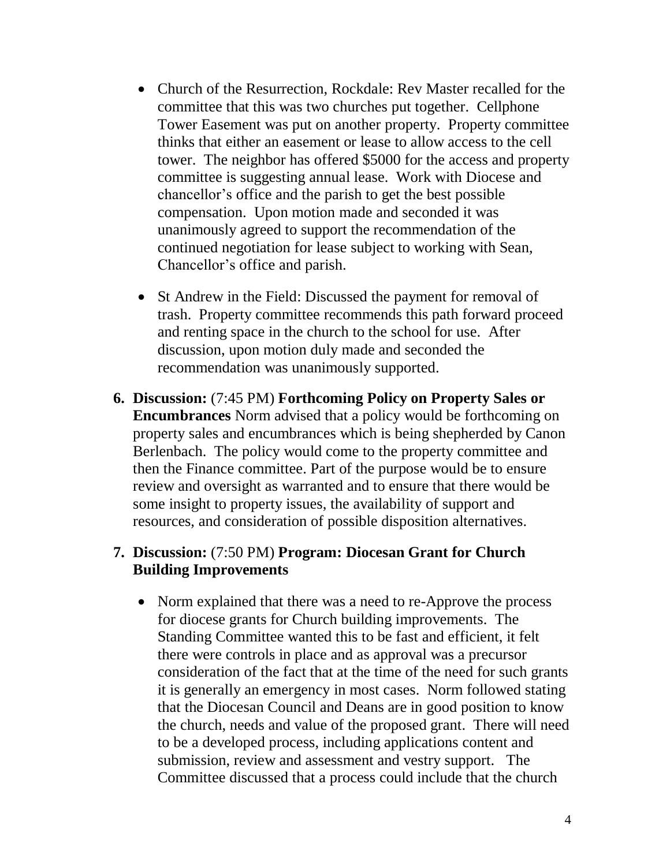- Church of the Resurrection, Rockdale: Rev Master recalled for the committee that this was two churches put together. Cellphone Tower Easement was put on another property. Property committee thinks that either an easement or lease to allow access to the cell tower. The neighbor has offered \$5000 for the access and property committee is suggesting annual lease. Work with Diocese and chancellor's office and the parish to get the best possible compensation. Upon motion made and seconded it was unanimously agreed to support the recommendation of the continued negotiation for lease subject to working with Sean, Chancellor's office and parish.
- St Andrew in the Field: Discussed the payment for removal of trash. Property committee recommends this path forward proceed and renting space in the church to the school for use. After discussion, upon motion duly made and seconded the recommendation was unanimously supported.
- **6. Discussion:** (7:45 PM) **Forthcoming Policy on Property Sales or Encumbrances** Norm advised that a policy would be forthcoming on property sales and encumbrances which is being shepherded by Canon Berlenbach. The policy would come to the property committee and then the Finance committee. Part of the purpose would be to ensure review and oversight as warranted and to ensure that there would be some insight to property issues, the availability of support and resources, and consideration of possible disposition alternatives.

#### **7. Discussion:** (7:50 PM) **Program: Diocesan Grant for Church Building Improvements**

• Norm explained that there was a need to re-Approve the process for diocese grants for Church building improvements. The Standing Committee wanted this to be fast and efficient, it felt there were controls in place and as approval was a precursor consideration of the fact that at the time of the need for such grants it is generally an emergency in most cases. Norm followed stating that the Diocesan Council and Deans are in good position to know the church, needs and value of the proposed grant. There will need to be a developed process, including applications content and submission, review and assessment and vestry support. The Committee discussed that a process could include that the church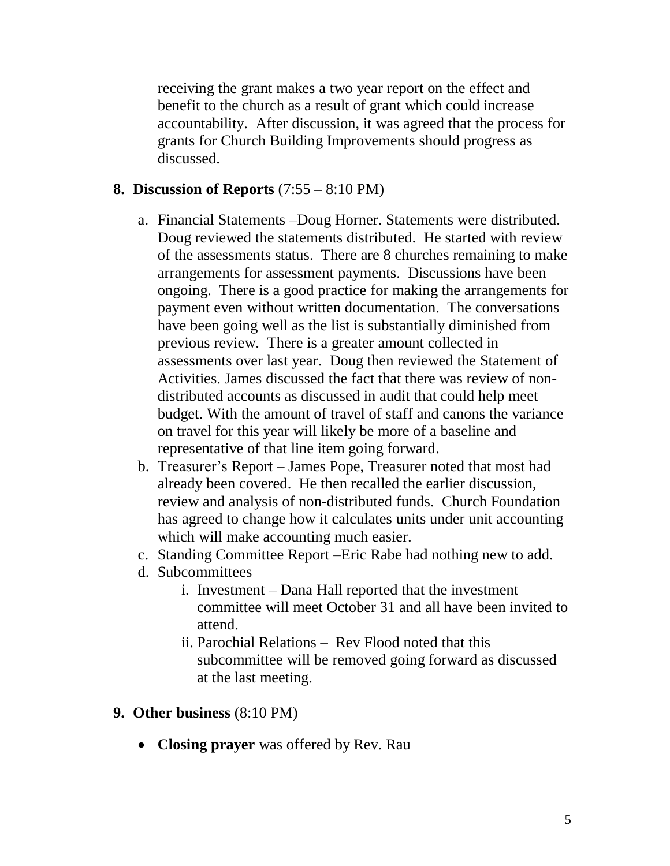receiving the grant makes a two year report on the effect and benefit to the church as a result of grant which could increase accountability. After discussion, it was agreed that the process for grants for Church Building Improvements should progress as discussed.

### **8. Discussion of Reports** (7:55 – 8:10 PM)

- a. Financial Statements –Doug Horner. Statements were distributed. Doug reviewed the statements distributed. He started with review of the assessments status. There are 8 churches remaining to make arrangements for assessment payments. Discussions have been ongoing. There is a good practice for making the arrangements for payment even without written documentation. The conversations have been going well as the list is substantially diminished from previous review. There is a greater amount collected in assessments over last year. Doug then reviewed the Statement of Activities. James discussed the fact that there was review of nondistributed accounts as discussed in audit that could help meet budget. With the amount of travel of staff and canons the variance on travel for this year will likely be more of a baseline and representative of that line item going forward.
- b. Treasurer's Report James Pope, Treasurer noted that most had already been covered. He then recalled the earlier discussion, review and analysis of non-distributed funds. Church Foundation has agreed to change how it calculates units under unit accounting which will make accounting much easier.
- c. Standing Committee Report –Eric Rabe had nothing new to add.
- d. Subcommittees
	- i. Investment Dana Hall reported that the investment committee will meet October 31 and all have been invited to attend.
	- ii. Parochial Relations Rev Flood noted that this subcommittee will be removed going forward as discussed at the last meeting.

#### **9. Other business** (8:10 PM)

• **Closing prayer** was offered by Rev. Rau